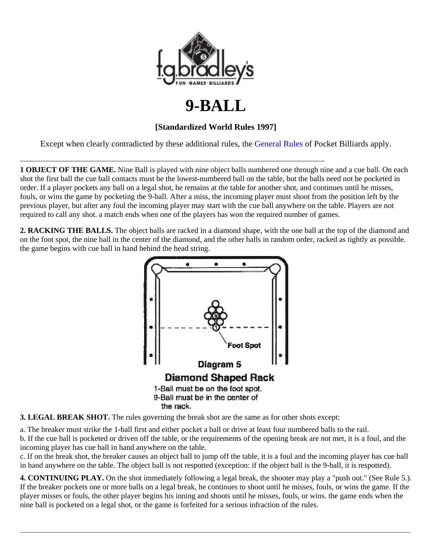

## **9-BALL**

## **[Standardized World Rules 1997]**

Except when clearly contradicted by these additional rules, the General Rules of Pocket Billiards apply.

**1 OBJECT OF THE GAME.** Nine Ball is played with nine object balls numbered one through nine and a cue ball. On each shot the first ball the cue ball contacts must be the lowest-numbered ball on the table, but the balls need not be pocketed in order. If a player pockets any ball on a legal shot, he remains at the table for another shot, and continues until he misses, fouls, or wins the game by pocketing the 9-ball. After a miss, the incoming player must shoot from the position left by the previous player, but after any foul the incoming player may start with the cue ball anywhere on the table. Players are not required to call any shot. a match ends when one of the players has won the required number of games.

**2. RACKING THE BALLS.** The object balls are racked in a diamond shape, with the one ball at the top of the diamond and on the foot spot, the nine ball in the center of the diamond, and the other balls in random order, racked as tightly as possible. the game begins with cue ball in hand behind the head string.



**3. LEGAL BREAK SHOT.** The rules governing the break shot are the same as for other shots except:

a. The breaker must strike the 1-ball first and either pocket a ball or drive at least four numbered balls to the rail. b. If the cue ball is pocketed or driven off the table, or the requirements of the opening break are not met, it is a foul, and the incoming player has cue ball in hand anywhere on the table.

c. If on the break shot, the breaker causes an object ball to jump off the table, it is a foul and the incoming player has cue ball in hand anywhere on the table. The object ball is not respotted (exception: if the object ball is the 9-ball, it is respotted).

**4. CONTINUING PLAY.** On the shot immediately following a legal break, the shooter may play a "push out." (See Rule 5.). If the breaker pockets one or more balls on a legal break, he continues to shoot until he misses, fouls, or wins the game. If the player misses or fouls, the other player begins his inning and shoots until he misses, fouls, or wins. the game ends when the nine ball is pocketed on a legal shot, or the game is forfeited for a serious infraction of the rules.

 $\bot$  , and the set of the set of the set of the set of the set of the set of the set of the set of the set of the set of the set of the set of the set of the set of the set of the set of the set of the set of the set of t